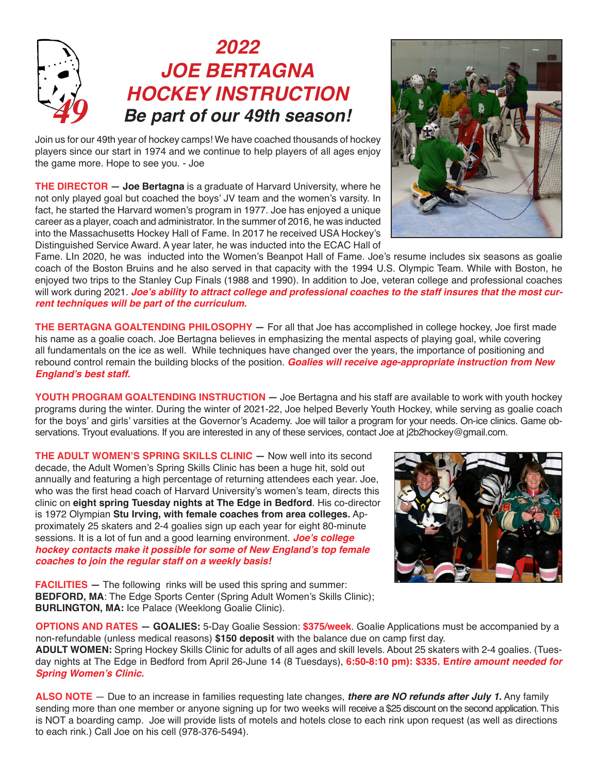## *2022 JOE BERTAGNA HOCKEY INSTRUCTION 49 Be part of our 49th season!*

Join us for our 49th year of hockey camps! We have coached thousands of hockey players since our start in 1974 and we continue to help players of all ages enjoy the game more. Hope to see you. - Joe

**THE DIRECTOR — Joe Bertagna** is a graduate of Harvard University, where he not only played goal but coached the boys' JV team and the women's varsity. In fact, he started the Harvard women's program in 1977. Joe has enjoyed a unique career as a player, coach and administrator. In the summer of 2016, he was inducted into the Massachusetts Hockey Hall of Fame. In 2017 he received USA Hockey's Distinguished Service Award. A year later, he was inducted into the ECAC Hall of



Fame. LIn 2020, he was inducted into the Women's Beanpot Hall of Fame. Joe's resume includes six seasons as goalie coach of the Boston Bruins and he also served in that capacity with the 1994 U.S. Olympic Team. While with Boston, he enjoyed two trips to the Stanley Cup Finals (1988 and 1990). In addition to Joe, veteran college and professional coaches will work during 2021. **Joe's ability to attract college and professional coaches to the staff insures that the most cur****rent techniques will be part of the curriculum.**

**THE BERTAGNA GOALTENDING PHILOSOPHY —** For all that Joe has accomplished in college hockey, Joe first made his name as a goalie coach. Joe Bertagna believes in emphasizing the mental aspects of playing goal, while covering all fundamentals on the ice as well. While techniques have changed over the years, the importance of positioning and rebound control remain the building blocks of the position. **Goalies will receive age-appropriate instruction from New England's best staff.** 

**YOUTH PROGRAM GOALTENDING INSTRUCTION —** Joe Bertagna and his staff are available to work with youth hockey programs during the winter. During the winter of 2021-22, Joe helped Beverly Youth Hockey, while serving as goalie coach for the boys' and girls' varsities at the Governor's Academy. Joe will tailor a program for your needs. On-ice clinics. Game observations. Tryout evaluations. If you are interested in any of these services, contact Joe at j2b2hockey@gmail.com.

**THE ADULT WOMEN'S SPRING SKILLS CLINIC —** Now well into its second decade, the Adult Women's Spring Skills Clinic has been a huge hit, sold out annually and featuring a high percentage of returning attendees each year. Joe, who was the first head coach of Harvard University's women's team, directs this clinic on **eight spring Tuesday nights at The Edge in Bedford**. His co-director is 1972 Olympian **Stu Irving, with female coaches from area colleges.** Approximately 25 skaters and 2-4 goalies sign up each year for eight 80-minute sessions. It is a lot of fun and a good learning environment. **Joe's college hockey contacts make it possible for some of New England's top female coaches to join the regular staff on a weekly basis!**



**FACILITIES** – The following rinks will be used this spring and summer: **BEDFORD, MA:** The Edge Sports Center (Spring Adult Women's Skills Clinic); **BURLINGTON, MA:** Ice Palace (Weeklong Goalie Clinic).

**OPTIONS AND RATES — GOALIES:** 5-Day Goalie Session: **\$375/week**. Goalie Applications must be accompanied by a non-refundable (unless medical reasons) **\$150 deposit** with the balance due on camp first day. **ADULT WOMEN:** Spring Hockey Skills Clinic for adults of all ages and skill levels. About 25 skaters with 2-4 goalies. (Tuesday nights at The Edge in Bedford from April 26-June 14 (8 Tuesdays), **6:50-8:10 pm): \$335. Entire amount needed for Spring Women's Clinic.**

**ALSO NOTE** — Due to an increase in families requesting late changes, **there are NO refunds after July 1.** Any family sending more than one member or anyone signing up for two weeks will receive a \$25 discount on the second application. This is NOT a boarding camp. Joe will provide lists of motels and hotels close to each rink upon request (as well as directions to each rink.) Call Joe on his cell (978-376-5494).